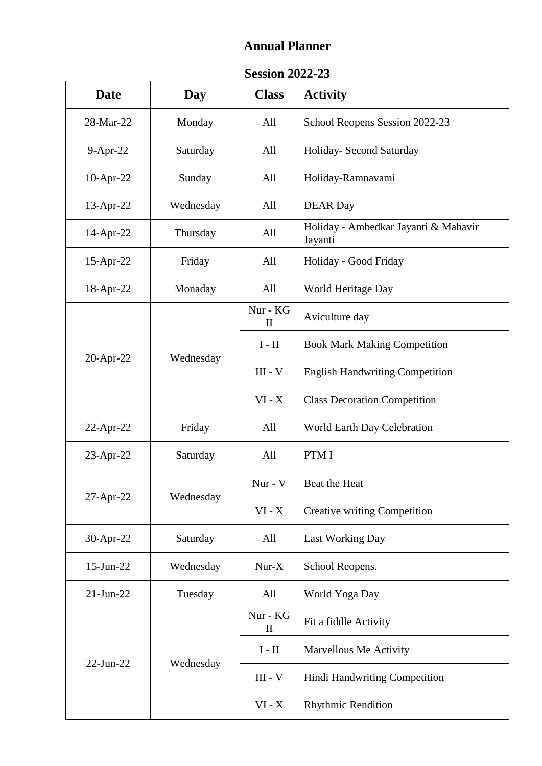## **Annual Planner**

## **Session 2022-23**

| <b>Date</b>     | Day       | <b>Class</b>             | <b>Activity</b>                                 |
|-----------------|-----------|--------------------------|-------------------------------------------------|
| 28-Mar-22       | Monday    | All                      | School Reopens Session 2022-23                  |
| $9-Apr-22$      | Saturday  | All                      | Holiday- Second Saturday                        |
| 10-Apr-22       | Sunday    | All                      | Holiday-Ramnavami                               |
| 13-Apr-22       | Wednesday | All                      | <b>DEAR</b> Day                                 |
| 14-Apr-22       | Thursday  | All                      | Holiday - Ambedkar Jayanti & Mahavir<br>Jayanti |
| 15-Apr-22       | Friday    | All                      | Holiday - Good Friday                           |
| 18-Apr-22       | Monaday   | All                      | World Heritage Day                              |
|                 | Wednesday | Nur - KG<br>$\mathbf{I}$ | Aviculture day                                  |
|                 |           | $I - II$                 | <b>Book Mark Making Competition</b>             |
| $20$ -Apr-22    |           | $III - V$                | <b>English Handwriting Competition</b>          |
|                 |           | $VI - X$                 | <b>Class Decoration Competition</b>             |
| $22$ -Apr-22    | Friday    | All                      | World Earth Day Celebration                     |
| $23$ -Apr-22    | Saturday  | All                      | PTM I                                           |
| 27-Apr-22       | Wednesday | Nur - V                  | Beat the Heat                                   |
|                 |           | $VI - X$                 | <b>Creative writing Competition</b>             |
| 30-Apr-22       | Saturday  | All                      | Last Working Day                                |
| 15-Jun-22       | Wednesday | $Nur-X$                  | School Reopens.                                 |
| $21$ -Jun- $22$ | Tuesday   | All                      | World Yoga Day                                  |
| $22$ -Jun- $22$ |           | Nur - KG<br>$\mathbf{I}$ | Fit a fiddle Activity                           |
|                 | Wednesday | $I - II$                 | Marvellous Me Activity                          |
|                 |           | $III - V$                | Hindi Handwriting Competition                   |
|                 |           | $VI - X$                 | <b>Rhythmic Rendition</b>                       |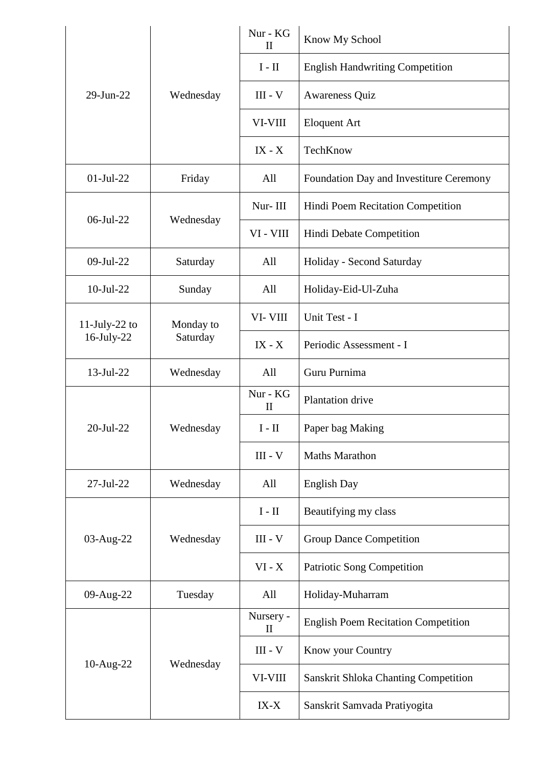| 29-Jun-22        | Wednesday             | Nur - KG<br>$\mathbf{I}$  | Know My School                              |
|------------------|-----------------------|---------------------------|---------------------------------------------|
|                  |                       | $I - II$                  | <b>English Handwriting Competition</b>      |
|                  |                       | $III - V$                 | Awareness Quiz                              |
|                  |                       | VI-VIII                   | <b>Eloquent Art</b>                         |
|                  |                       | $IX - X$                  | TechKnow                                    |
| $01-Jul-22$      | Friday                | All                       | Foundation Day and Investiture Ceremony     |
| $06$ -Jul-22     | Wednesday             | Nur-III                   | Hindi Poem Recitation Competition           |
|                  |                       | VI - VIII                 | Hindi Debate Competition                    |
| 09-Jul-22        | Saturday              | All                       | Holiday - Second Saturday                   |
| $10$ -Jul-22     | Sunday                | All                       | Holiday-Eid-Ul-Zuha                         |
| $11$ -July-22 to | Monday to<br>Saturday | VI-VIII                   | Unit Test - I                               |
| $16$ -July-22    |                       | $IX - X$                  | Periodic Assessment - I                     |
| $13$ -Jul-22     | Wednesday             | All                       | Guru Purnima                                |
| 20-Jul-22        | Wednesday             | Nur - KG<br>$\mathbf{I}$  | Plantation drive                            |
|                  |                       | $I - II$                  | Paper bag Making                            |
|                  |                       | $III - V$                 | <b>Maths Marathon</b>                       |
| $27 - Jul - 22$  | Wednesday             | All                       | English Day                                 |
| 03-Aug-22        | Wednesday             | $I - II$                  | Beautifying my class                        |
|                  |                       | $III - V$                 | <b>Group Dance Competition</b>              |
|                  |                       | $VI - X$                  | Patriotic Song Competition                  |
| 09-Aug-22        | Tuesday               | All                       | Holiday-Muharram                            |
| 10-Aug-22        | Wednesday             | Nursery -<br>$\rm _{II}$  | <b>English Poem Recitation Competition</b>  |
|                  |                       | $\text{III}$ - $\text{V}$ | Know your Country                           |
|                  |                       | VI-VIII                   | <b>Sanskrit Shloka Chanting Competition</b> |
|                  |                       | $IX-X$                    | Sanskrit Samvada Pratiyogita                |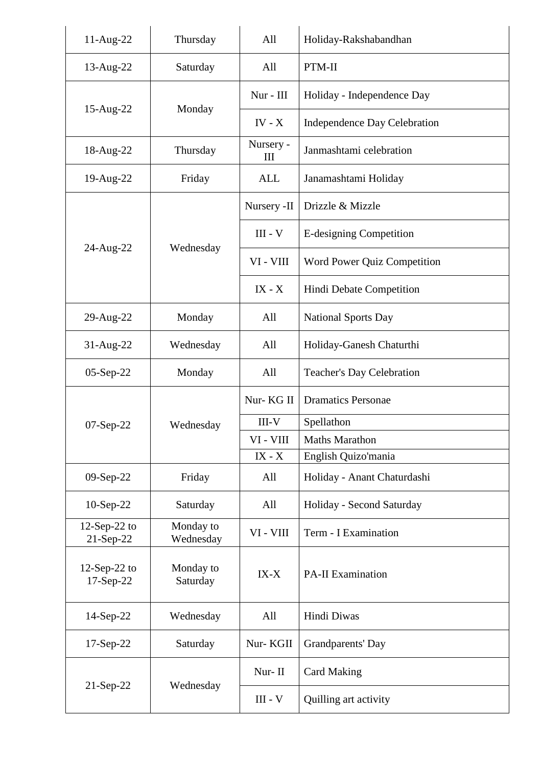| 11-Aug-22                    | Thursday               | All            | Holiday-Rakshabandhan            |
|------------------------------|------------------------|----------------|----------------------------------|
| 13-Aug-22                    | Saturday               | All            | PTM-II                           |
| 15-Aug-22                    | Monday                 | Nur - III      | Holiday - Independence Day       |
|                              |                        | $IV - X$       | Independence Day Celebration     |
| 18-Aug-22                    | Thursday               | Nursery -<br>Ш | Janmashtami celebration          |
| 19-Aug-22                    | Friday                 | <b>ALL</b>     | Janamashtami Holiday             |
|                              | Wednesday              | Nursery -II    | Drizzle & Mizzle                 |
|                              |                        | $III - V$      | E-designing Competition          |
| 24-Aug-22                    |                        | VI - VIII      | Word Power Quiz Competition      |
|                              |                        | $IX - X$       | Hindi Debate Competition         |
| 29-Aug-22                    | Monday                 | All            | <b>National Sports Day</b>       |
| $31$ -Aug-22                 | Wednesday              | All            | Holiday-Ganesh Chaturthi         |
| 05-Sep-22                    | Monday                 | All            | <b>Teacher's Day Celebration</b> |
|                              | Wednesday              | Nur-KG II      | <b>Dramatics Personae</b>        |
| $07-Sep-22$                  |                        | $III-V$        | Spellathon                       |
|                              |                        | VI - VIII      | <b>Maths Marathon</b>            |
|                              |                        | $IX - X$       | English Quizo'mania              |
| 09-Sep-22                    | Friday                 | All            | Holiday - Anant Chaturdashi      |
| $10-Sep-22$                  | Saturday               | All            | Holiday - Second Saturday        |
| $12$ -Sep-22 to<br>21-Sep-22 | Monday to<br>Wednesday | VI - VIII      | Term - I Examination             |
| $12$ -Sep-22 to<br>17-Sep-22 | Monday to<br>Saturday  | $IX-X$         | <b>PA-II Examination</b>         |
| $14-Sep-22$                  | Wednesday              | All            | Hindi Diwas                      |
| $17-Sep-22$                  | Saturday               | Nur-KGII       | Grandparents' Day                |
|                              | Wednesday              | Nur-II         | <b>Card Making</b>               |
| $21-Sep-22$                  |                        | $III - V$      | Quilling art activity            |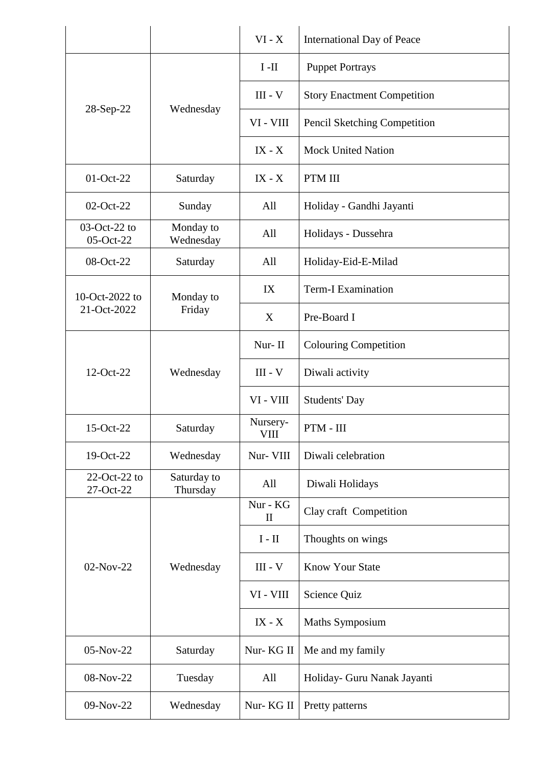|                                 |                         | $VI - X$                 | <b>International Day of Peace</b>  |
|---------------------------------|-------------------------|--------------------------|------------------------------------|
| 28-Sep-22                       | Wednesday               | $I-II$                   | <b>Puppet Portrays</b>             |
|                                 |                         | $III - V$                | <b>Story Enactment Competition</b> |
|                                 |                         | VI - VIII                | Pencil Sketching Competition       |
|                                 |                         | $IX - X$                 | <b>Mock United Nation</b>          |
| 01-Oct-22                       | Saturday                | $IX - X$                 | PTM III                            |
| 02-Oct-22                       | Sunday                  | All                      | Holiday - Gandhi Jayanti           |
| $03-Oct-22$ to<br>05-Oct-22     | Monday to<br>Wednesday  | All                      | Holidays - Dussehra                |
| 08-Oct-22                       | Saturday                | All                      | Holiday-Eid-E-Milad                |
| 10-Oct-2022 to                  | Monday to<br>Friday     | IX                       | <b>Term-I Examination</b>          |
| 21-Oct-2022                     |                         | X                        | Pre-Board I                        |
|                                 | Wednesday               | Nur-II                   | <b>Colouring Competition</b>       |
| 12-Oct-22                       |                         | $III - V$                | Diwali activity                    |
|                                 |                         | VI - VIII                | <b>Students' Day</b>               |
| 15-Oct-22                       | Saturday                | Nursery-<br>VIII         | $PTM - III$                        |
| 19-Oct-22                       | Wednesday               | Nur- VIII                | Diwali celebration                 |
| $22$ -Oct- $22$ to<br>27-Oct-22 | Saturday to<br>Thursday | All                      | Diwali Holidays                    |
|                                 | Wednesday               | Nur - KG<br>$\mathbf{I}$ | Clay craft Competition             |
| 02-Nov-22                       |                         | $\rm I$ - $\rm II$       | Thoughts on wings                  |
|                                 |                         | $III - V$                | <b>Know Your State</b>             |
|                                 |                         | VI - VIII                | Science Quiz                       |
|                                 |                         | $IX - X$                 | Maths Symposium                    |
| 05-Nov-22                       | Saturday                | Nur-KG II                | Me and my family                   |
| 08-Nov-22                       | Tuesday                 | All                      | Holiday- Guru Nanak Jayanti        |
| 09-Nov-22                       | Wednesday               | Nur-KG II                | Pretty patterns                    |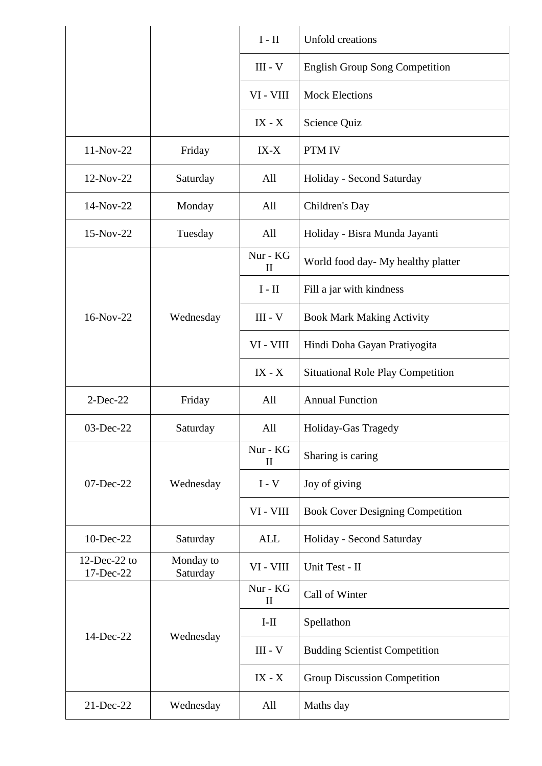|                              |                       | $I - II$                 | Unfold creations                         |
|------------------------------|-----------------------|--------------------------|------------------------------------------|
|                              |                       | $III - V$                | <b>English Group Song Competition</b>    |
|                              |                       | VI - VIII                | <b>Mock Elections</b>                    |
|                              |                       | $IX - X$                 | Science Quiz                             |
| 11-Nov-22                    | Friday                | $IX-X$                   | PTM IV                                   |
| 12-Nov-22                    | Saturday              | All                      | Holiday - Second Saturday                |
| 14-Nov-22                    | Monday                | All                      | Children's Day                           |
| 15-Nov-22                    | Tuesday               | All                      | Holiday - Bisra Munda Jayanti            |
|                              |                       | Nur - KG<br>$\mathbf{I}$ | World food day- My healthy platter       |
|                              |                       | $I - II$                 | Fill a jar with kindness                 |
| 16-Nov-22                    | Wednesday             | $III - V$                | <b>Book Mark Making Activity</b>         |
|                              |                       | VI - VIII                | Hindi Doha Gayan Pratiyogita             |
|                              |                       | $IX - X$                 | <b>Situational Role Play Competition</b> |
| $2$ -Dec-22                  | Friday                | All                      | <b>Annual Function</b>                   |
| 03-Dec-22                    | Saturday              | All                      | Holiday-Gas Tragedy                      |
| 07-Dec-22                    | Wednesday             | Nur - KG<br>$\mathbf{I}$ | Sharing is caring                        |
|                              |                       | $I - V$                  | Joy of giving                            |
|                              |                       | VI - VIII                | <b>Book Cover Designing Competition</b>  |
| 10-Dec-22                    | Saturday              | <b>ALL</b>               | Holiday - Second Saturday                |
| $12$ -Dec-22 to<br>17-Dec-22 | Monday to<br>Saturday | VI - VIII                | Unit Test - II                           |
|                              | Wednesday             | Nur - KG<br>$\mathbf{I}$ | Call of Winter                           |
| 14-Dec-22                    |                       | $I-II$                   | Spellathon                               |
|                              |                       | $III - V$                | <b>Budding Scientist Competition</b>     |
|                              |                       | $IX - X$                 | Group Discussion Competition             |
| 21-Dec-22                    | Wednesday             | All                      | Maths day                                |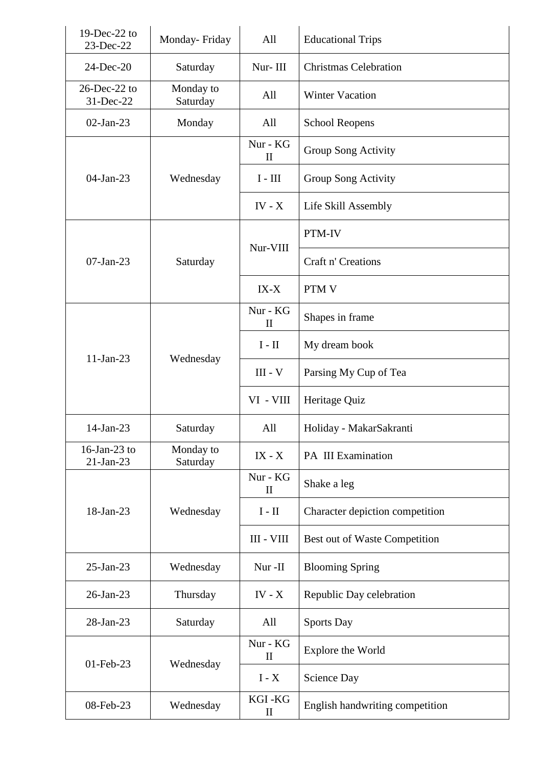| 19-Dec-22 to<br>23-Dec-22    | Monday-Friday         | All                      | <b>Educational Trips</b>        |
|------------------------------|-----------------------|--------------------------|---------------------------------|
| 24-Dec-20                    | Saturday              | Nur-III                  | <b>Christmas Celebration</b>    |
| $26$ -Dec-22 to<br>31-Dec-22 | Monday to<br>Saturday | All                      | <b>Winter Vacation</b>          |
| $02$ -Jan-23                 | Monday                | All                      | <b>School Reopens</b>           |
|                              | Wednesday             | Nur - KG<br>$\mathbf{I}$ | Group Song Activity             |
| $04$ -Jan-23                 |                       | $I - III$                | Group Song Activity             |
|                              |                       | $IV - X$                 | Life Skill Assembly             |
|                              | Saturday              | Nur-VIII                 | PTM-IV                          |
| $07$ -Jan-23                 |                       |                          | Craft n' Creations              |
|                              |                       | $IX-X$                   | <b>PTM V</b>                    |
|                              | Wednesday             | Nur - KG<br>$\mathbf{I}$ | Shapes in frame                 |
| $11-Jan-23$                  |                       | $I - II$                 | My dream book                   |
|                              |                       | $III - V$                | Parsing My Cup of Tea           |
|                              |                       | VI - VIII                | Heritage Quiz                   |
| 14-Jan-23                    | Saturday              | All                      | Holiday - MakarSakranti         |
| 16-Jan-23 to<br>$21-Jan-23$  | Monday to<br>Saturday | $IX - X$                 | PA III Examination              |
|                              | Wednesday             | Nur - KG<br>$\mathbf{I}$ | Shake a leg                     |
| 18-Jan-23                    |                       | $I - II$                 | Character depiction competition |
|                              |                       | III - VIII               | Best out of Waste Competition   |
| 25-Jan-23                    | Wednesday             | Nur-II                   | <b>Blooming Spring</b>          |
| 26-Jan-23                    | Thursday              | IV - $X$                 | Republic Day celebration        |
| 28-Jan-23                    | Saturday              | All                      | <b>Sports Day</b>               |
| 01-Feb-23                    | Wednesday             | Nur - KG<br>$\mathbf{I}$ | Explore the World               |
|                              |                       | $I - X$                  | Science Day                     |
| 08-Feb-23                    | Wednesday             | KGI-KG<br>$\mathbf{I}$   | English handwriting competition |